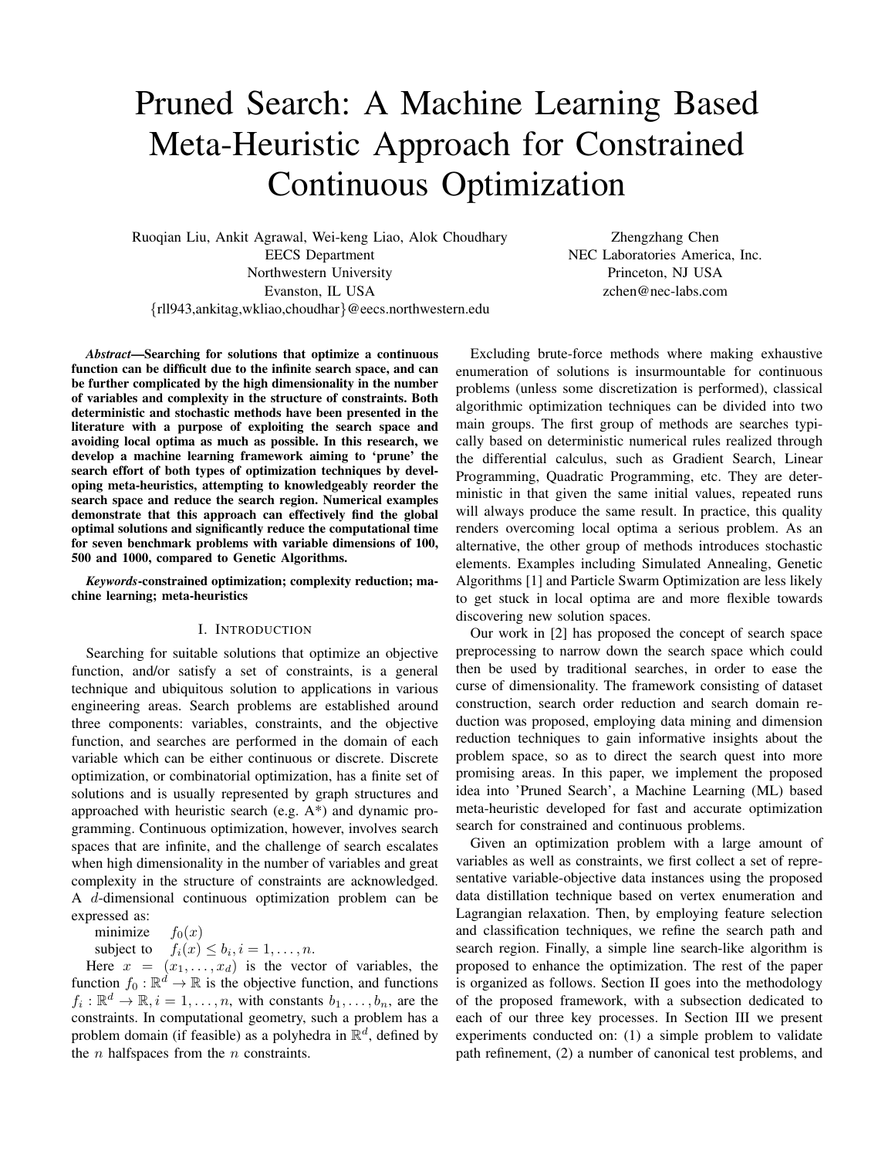# Pruned Search: A Machine Learning Based Meta-Heuristic Approach for Constrained Continuous Optimization

Ruoqian Liu, Ankit Agrawal, Wei-keng Liao, Alok Choudhary EECS Department Northwestern University Evanston, IL USA {rll943,ankitag,wkliao,choudhar}@eecs.northwestern.edu

Zhengzhang Chen NEC Laboratories America, Inc. Princeton, NJ USA zchen@nec-labs.com

*Abstract*—Searching for solutions that optimize a continuous function can be difficult due to the infinite search space, and can be further complicated by the high dimensionality in the number of variables and complexity in the structure of constraints. Both deterministic and stochastic methods have been presented in the literature with a purpose of exploiting the search space and avoiding local optima as much as possible. In this research, we develop a machine learning framework aiming to 'prune' the search effort of both types of optimization techniques by developing meta-heuristics, attempting to knowledgeably reorder the search space and reduce the search region. Numerical examples demonstrate that this approach can effectively find the global optimal solutions and significantly reduce the computational time for seven benchmark problems with variable dimensions of 100, 500 and 1000, compared to Genetic Algorithms.

*Keywords*-constrained optimization; complexity reduction; machine learning; meta-heuristics

## I. INTRODUCTION

Searching for suitable solutions that optimize an objective function, and/or satisfy a set of constraints, is a general technique and ubiquitous solution to applications in various engineering areas. Search problems are established around three components: variables, constraints, and the objective function, and searches are performed in the domain of each variable which can be either continuous or discrete. Discrete optimization, or combinatorial optimization, has a finite set of solutions and is usually represented by graph structures and approached with heuristic search (e.g. A\*) and dynamic programming. Continuous optimization, however, involves search spaces that are infinite, and the challenge of search escalates when high dimensionality in the number of variables and great complexity in the structure of constraints are acknowledged. A d-dimensional continuous optimization problem can be expressed as:

minimize  $f_0(x)$ 

subject to  $f_i(x) \leq b_i, i = 1, \ldots, n$ .

Here  $x = (x_1, \ldots, x_d)$  is the vector of variables, the function  $f_0 : \mathbb{R}^d \to \mathbb{R}$  is the objective function, and functions  $f_i: \mathbb{R}^d \to \mathbb{R}, i = 1, \dots, n$ , with constants  $b_1, \dots, b_n$ , are the constraints. In computational geometry, such a problem has a problem domain (if feasible) as a polyhedra in  $\mathbb{R}^d$ , defined by the  $n$  halfspaces from the  $n$  constraints.

Excluding brute-force methods where making exhaustive enumeration of solutions is insurmountable for continuous problems (unless some discretization is performed), classical algorithmic optimization techniques can be divided into two main groups. The first group of methods are searches typically based on deterministic numerical rules realized through the differential calculus, such as Gradient Search, Linear Programming, Quadratic Programming, etc. They are deterministic in that given the same initial values, repeated runs will always produce the same result. In practice, this quality renders overcoming local optima a serious problem. As an alternative, the other group of methods introduces stochastic elements. Examples including Simulated Annealing, Genetic Algorithms [1] and Particle Swarm Optimization are less likely to get stuck in local optima are and more flexible towards discovering new solution spaces.

Our work in [2] has proposed the concept of search space preprocessing to narrow down the search space which could then be used by traditional searches, in order to ease the curse of dimensionality. The framework consisting of dataset construction, search order reduction and search domain reduction was proposed, employing data mining and dimension reduction techniques to gain informative insights about the problem space, so as to direct the search quest into more promising areas. In this paper, we implement the proposed idea into 'Pruned Search', a Machine Learning (ML) based meta-heuristic developed for fast and accurate optimization search for constrained and continuous problems.

Given an optimization problem with a large amount of variables as well as constraints, we first collect a set of representative variable-objective data instances using the proposed data distillation technique based on vertex enumeration and Lagrangian relaxation. Then, by employing feature selection and classification techniques, we refine the search path and search region. Finally, a simple line search-like algorithm is proposed to enhance the optimization. The rest of the paper is organized as follows. Section II goes into the methodology of the proposed framework, with a subsection dedicated to each of our three key processes. In Section III we present experiments conducted on: (1) a simple problem to validate path refinement, (2) a number of canonical test problems, and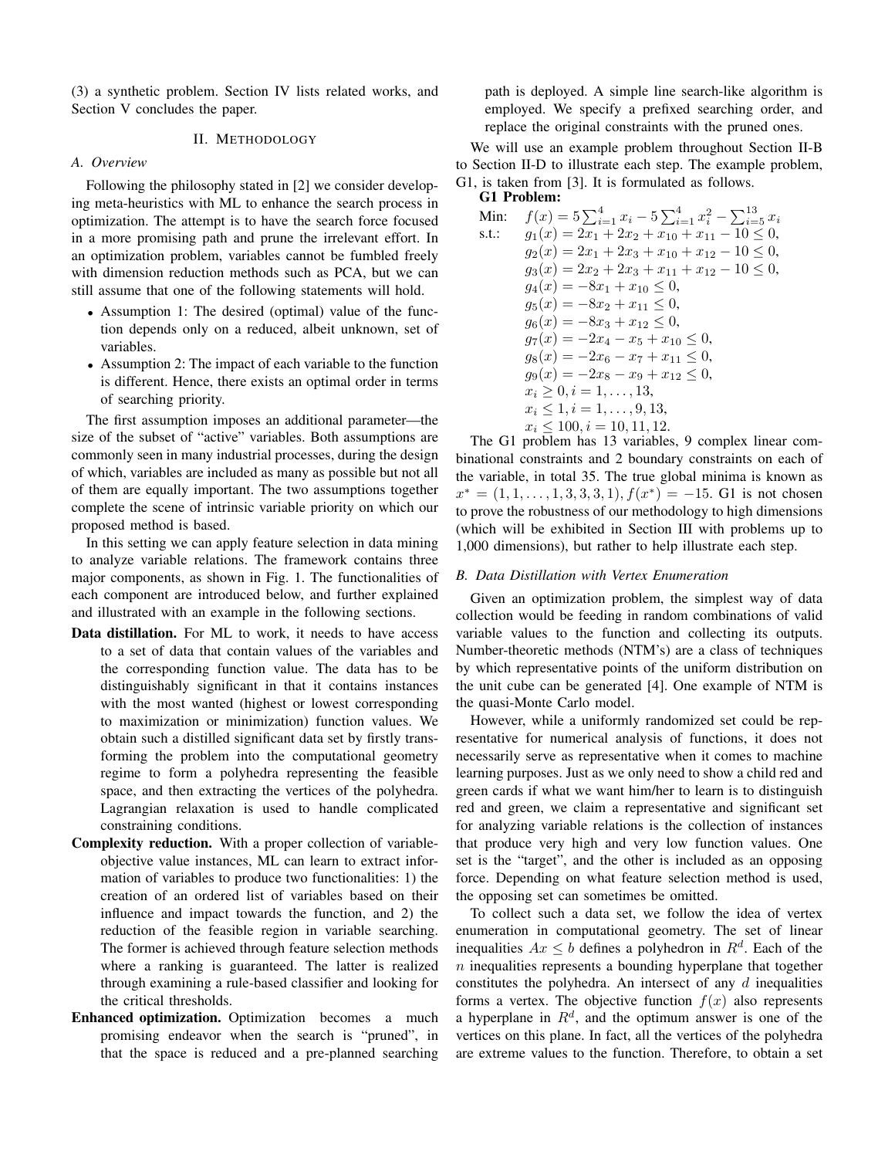(3) a synthetic problem. Section IV lists related works, and Section V concludes the paper.

# II. METHODOLOGY

## *A. Overview*

Following the philosophy stated in [2] we consider developing meta-heuristics with ML to enhance the search process in optimization. The attempt is to have the search force focused in a more promising path and prune the irrelevant effort. In an optimization problem, variables cannot be fumbled freely with dimension reduction methods such as PCA, but we can still assume that one of the following statements will hold.

- Assumption 1: The desired (optimal) value of the function depends only on a reduced, albeit unknown, set of variables.
- Assumption 2: The impact of each variable to the function is different. Hence, there exists an optimal order in terms of searching priority.

The first assumption imposes an additional parameter—the size of the subset of "active" variables. Both assumptions are commonly seen in many industrial processes, during the design of which, variables are included as many as possible but not all of them are equally important. The two assumptions together complete the scene of intrinsic variable priority on which our proposed method is based.

In this setting we can apply feature selection in data mining to analyze variable relations. The framework contains three major components, as shown in Fig. 1. The functionalities of each component are introduced below, and further explained and illustrated with an example in the following sections.

- Data distillation. For ML to work, it needs to have access to a set of data that contain values of the variables and the corresponding function value. The data has to be distinguishably significant in that it contains instances with the most wanted (highest or lowest corresponding to maximization or minimization) function values. We obtain such a distilled significant data set by firstly transforming the problem into the computational geometry regime to form a polyhedra representing the feasible space, and then extracting the vertices of the polyhedra. Lagrangian relaxation is used to handle complicated constraining conditions.
- Complexity reduction. With a proper collection of variableobjective value instances, ML can learn to extract information of variables to produce two functionalities: 1) the creation of an ordered list of variables based on their influence and impact towards the function, and 2) the reduction of the feasible region in variable searching. The former is achieved through feature selection methods where a ranking is guaranteed. The latter is realized through examining a rule-based classifier and looking for the critical thresholds.
- Enhanced optimization. Optimization becomes a much promising endeavor when the search is "pruned", in that the space is reduced and a pre-planned searching

path is deployed. A simple line search-like algorithm is employed. We specify a prefixed searching order, and replace the original constraints with the pruned ones.

We will use an example problem throughout Section II-B to Section II-D to illustrate each step. The example problem, G1, is taken from [3]. It is formulated as follows. G1 Problem:

Min: 
$$
f(x) = 5 \sum_{i=1}^{4} x_i - 5 \sum_{i=1}^{4} x_i^2 - \sum_{i=5}^{13} x_i
$$
  
\ns.t.:  $g_1(x) = 2x_1 + 2x_2 + x_{10} + x_{11} - 10 \le 0$ ,  
\n $g_2(x) = 2x_1 + 2x_3 + x_{10} + x_{12} - 10 \le 0$ ,  
\n $g_3(x) = 2x_2 + 2x_3 + x_{11} + x_{12} - 10 \le 0$ ,  
\n $g_4(x) = -8x_1 + x_{10} \le 0$ ,  
\n $g_5(x) = -8x_2 + x_{11} \le 0$ ,  
\n $g_6(x) = -8x_3 + x_{12} \le 0$ ,  
\n $g_7(x) = -2x_4 - x_5 + x_{10} \le 0$ ,  
\n $g_8(x) = -2x_6 - x_7 + x_{11} \le 0$ ,  
\n $g_9(x) = -2x_8 - x_9 + x_{12} \le 0$ ,  
\n $x_i \ge 0$ ,  $i = 1, ..., 13$ ,  
\n $x_i \le 1$ ,  $i = 1, ..., 9, 13$ ,  
\n $x_i \le 100$ ,  $i = 10, 11, 12$ .

The G1 problem has 13 variables, 9 complex linear combinational constraints and 2 boundary constraints on each of the variable, in total 35. The true global minima is known as  $x^* = (1, 1, \ldots, 1, 3, 3, 3, 1), f(x^*) = -15$ . G1 is not chosen to prove the robustness of our methodology to high dimensions (which will be exhibited in Section III with problems up to 1,000 dimensions), but rather to help illustrate each step.

## *B. Data Distillation with Vertex Enumeration*

Given an optimization problem, the simplest way of data collection would be feeding in random combinations of valid variable values to the function and collecting its outputs. Number-theoretic methods (NTM's) are a class of techniques by which representative points of the uniform distribution on the unit cube can be generated [4]. One example of NTM is the quasi-Monte Carlo model.

However, while a uniformly randomized set could be representative for numerical analysis of functions, it does not necessarily serve as representative when it comes to machine learning purposes. Just as we only need to show a child red and green cards if what we want him/her to learn is to distinguish red and green, we claim a representative and significant set for analyzing variable relations is the collection of instances that produce very high and very low function values. One set is the "target", and the other is included as an opposing force. Depending on what feature selection method is used, the opposing set can sometimes be omitted.

To collect such a data set, we follow the idea of vertex enumeration in computational geometry. The set of linear inequalities  $Ax \leq b$  defines a polyhedron in  $R^d$ . Each of the  $n$  inequalities represents a bounding hyperplane that together constitutes the polyhedra. An intersect of any  $d$  inequalities forms a vertex. The objective function  $f(x)$  also represents a hyperplane in  $R<sup>d</sup>$ , and the optimum answer is one of the vertices on this plane. In fact, all the vertices of the polyhedra are extreme values to the function. Therefore, to obtain a set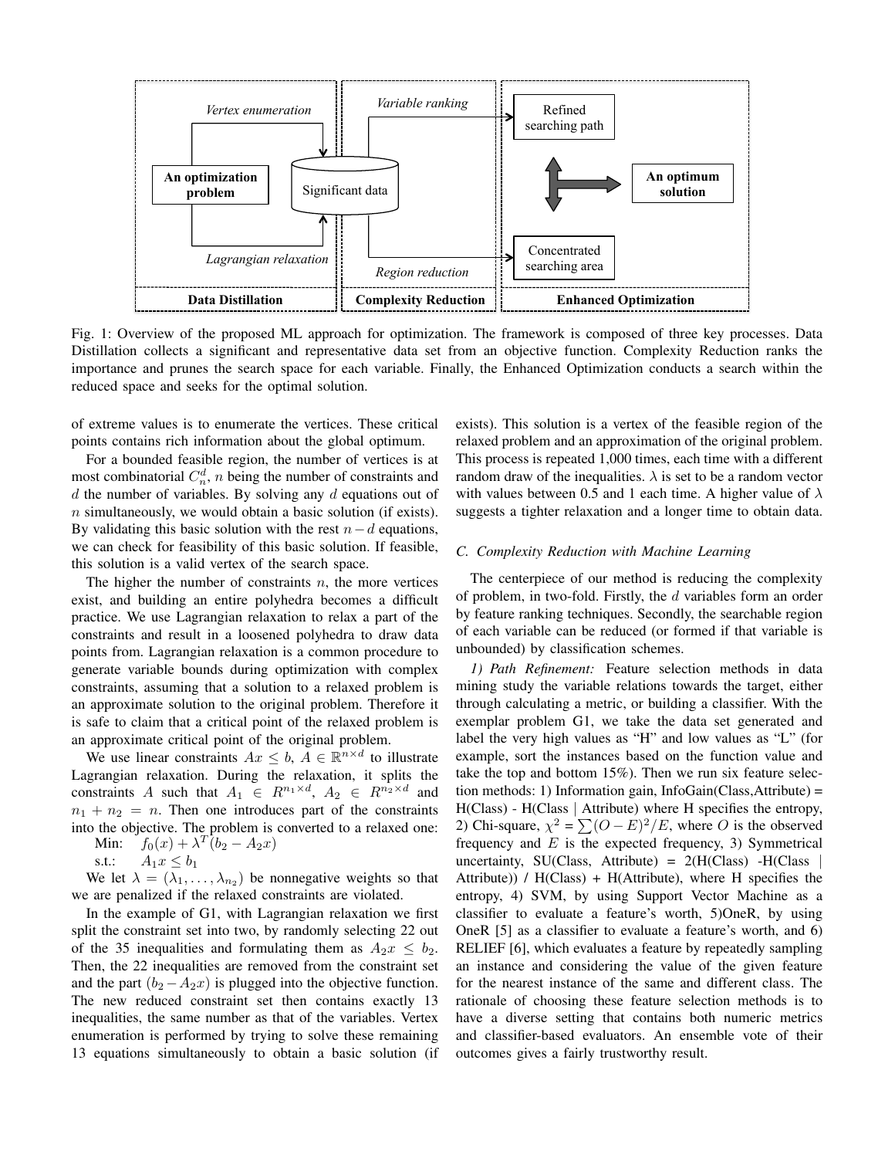

Fig. 1: Overview of the proposed ML approach for optimization. The framework is composed of three key processes. Data Distillation collects a significant and representative data set from an objective function. Complexity Reduction ranks the importance and prunes the search space for each variable. Finally, the Enhanced Optimization conducts a search within the reduced space and seeks for the optimal solution.

of extreme values is to enumerate the vertices. These critical points contains rich information about the global optimum.

For a bounded feasible region, the number of vertices is at most combinatorial  $C_n^d$ , *n* being the number of constraints and  $d$  the number of variables. By solving any  $d$  equations out of  $n$  simultaneously, we would obtain a basic solution (if exists). By validating this basic solution with the rest  $n-d$  equations, we can check for feasibility of this basic solution. If feasible, this solution is a valid vertex of the search space.

The higher the number of constraints  $n$ , the more vertices exist, and building an entire polyhedra becomes a difficult practice. We use Lagrangian relaxation to relax a part of the constraints and result in a loosened polyhedra to draw data points from. Lagrangian relaxation is a common procedure to generate variable bounds during optimization with complex constraints, assuming that a solution to a relaxed problem is an approximate solution to the original problem. Therefore it is safe to claim that a critical point of the relaxed problem is an approximate critical point of the original problem.

We use linear constraints  $Ax \leq b$ ,  $A \in \mathbb{R}^{n \times d}$  to illustrate Lagrangian relaxation. During the relaxation, it splits the constraints A such that  $A_1 \in R^{n_1 \times d}$ ,  $A_2 \in R^{n_2 \times d}$  and  $n_1 + n_2 = n$ . Then one introduces part of the constraints into the objective. The problem is converted to a relaxed one:

Min:  $f_0(x) + \lambda^T (b_2 - A_2 x)$ 

s.t.:  $A_1 x \leq b_1$ 

We let  $\lambda = (\lambda_1, \dots, \lambda_{n_2})$  be nonnegative weights so that we are penalized if the relaxed constraints are violated.

In the example of G1, with Lagrangian relaxation we first split the constraint set into two, by randomly selecting 22 out of the 35 inequalities and formulating them as  $A_2x \leq b_2$ . Then, the 22 inequalities are removed from the constraint set and the part  $(b_2 - A_2x)$  is plugged into the objective function. The new reduced constraint set then contains exactly 13 inequalities, the same number as that of the variables. Vertex enumeration is performed by trying to solve these remaining 13 equations simultaneously to obtain a basic solution (if exists). This solution is a vertex of the feasible region of the relaxed problem and an approximation of the original problem. This process is repeated 1,000 times, each time with a different random draw of the inequalities.  $\lambda$  is set to be a random vector with values between 0.5 and 1 each time. A higher value of  $\lambda$ suggests a tighter relaxation and a longer time to obtain data.

### *C. Complexity Reduction with Machine Learning*

The centerpiece of our method is reducing the complexity of problem, in two-fold. Firstly, the d variables form an order by feature ranking techniques. Secondly, the searchable region of each variable can be reduced (or formed if that variable is unbounded) by classification schemes.

*1) Path Refinement:* Feature selection methods in data mining study the variable relations towards the target, either through calculating a metric, or building a classifier. With the exemplar problem G1, we take the data set generated and label the very high values as "H" and low values as "L" (for example, sort the instances based on the function value and take the top and bottom 15%). Then we run six feature selection methods: 1) Information gain, InfoGain(Class,Attribute) = H(Class) - H(Class | Attribute) where H specifies the entropy, 2) Chi-square,  $\chi^2 = \sum (O - E)^2 / E$ , where O is the observed frequency and  $E$  is the expected frequency, 3) Symmetrical uncertainty, SU(Class, Attribute) =  $2(H(Class) - H(Class$ Attribute)) / H(Class) + H(Attribute), where H specifies the entropy, 4) SVM, by using Support Vector Machine as a classifier to evaluate a feature's worth, 5)OneR, by using OneR [5] as a classifier to evaluate a feature's worth, and 6) RELIEF [6], which evaluates a feature by repeatedly sampling an instance and considering the value of the given feature for the nearest instance of the same and different class. The rationale of choosing these feature selection methods is to have a diverse setting that contains both numeric metrics and classifier-based evaluators. An ensemble vote of their outcomes gives a fairly trustworthy result.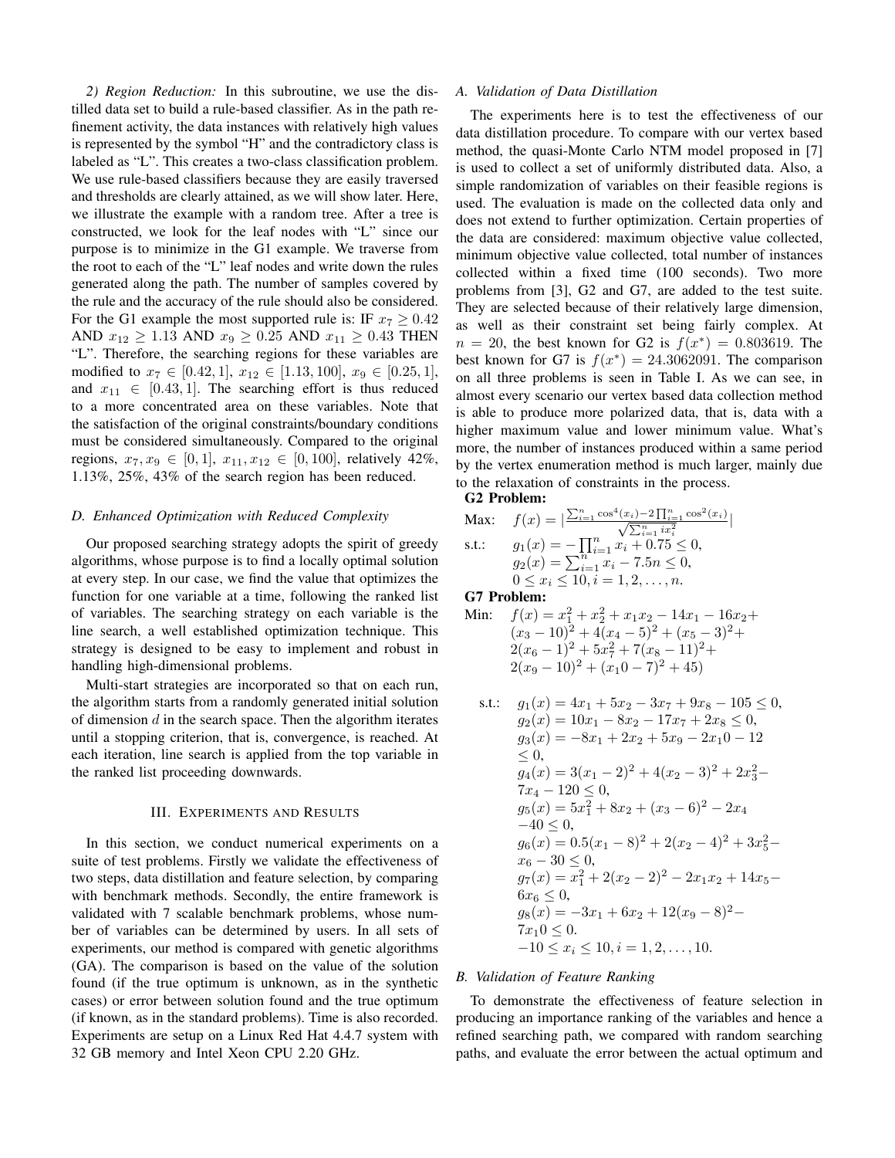*2) Region Reduction:* In this subroutine, we use the distilled data set to build a rule-based classifier. As in the path refinement activity, the data instances with relatively high values is represented by the symbol "H" and the contradictory class is labeled as "L". This creates a two-class classification problem. We use rule-based classifiers because they are easily traversed and thresholds are clearly attained, as we will show later. Here, we illustrate the example with a random tree. After a tree is constructed, we look for the leaf nodes with "L" since our purpose is to minimize in the G1 example. We traverse from the root to each of the "L" leaf nodes and write down the rules generated along the path. The number of samples covered by the rule and the accuracy of the rule should also be considered. For the G1 example the most supported rule is: IF  $x_7 \geq 0.42$ AND  $x_{12} \ge 1.13$  AND  $x_9 \ge 0.25$  AND  $x_{11} \ge 0.43$  THEN "L". Therefore, the searching regions for these variables are modified to  $x_7 \in [0.42, 1], x_{12} \in [1.13, 100], x_9 \in [0.25, 1],$ and  $x_{11} \in [0.43, 1]$ . The searching effort is thus reduced to a more concentrated area on these variables. Note that the satisfaction of the original constraints/boundary conditions must be considered simultaneously. Compared to the original regions,  $x_7, x_9 \in [0, 1]$ ,  $x_{11}, x_{12} \in [0, 100]$ , relatively 42%, 1.13%, 25%, 43% of the search region has been reduced.

### *D. Enhanced Optimization with Reduced Complexity*

Our proposed searching strategy adopts the spirit of greedy algorithms, whose purpose is to find a locally optimal solution at every step. In our case, we find the value that optimizes the function for one variable at a time, following the ranked list of variables. The searching strategy on each variable is the line search, a well established optimization technique. This strategy is designed to be easy to implement and robust in handling high-dimensional problems.

Multi-start strategies are incorporated so that on each run, the algorithm starts from a randomly generated initial solution of dimension  $d$  in the search space. Then the algorithm iterates until a stopping criterion, that is, convergence, is reached. At each iteration, line search is applied from the top variable in the ranked list proceeding downwards.

## III. EXPERIMENTS AND RESULTS

In this section, we conduct numerical experiments on a suite of test problems. Firstly we validate the effectiveness of two steps, data distillation and feature selection, by comparing with benchmark methods. Secondly, the entire framework is validated with 7 scalable benchmark problems, whose number of variables can be determined by users. In all sets of experiments, our method is compared with genetic algorithms (GA). The comparison is based on the value of the solution found (if the true optimum is unknown, as in the synthetic cases) or error between solution found and the true optimum (if known, as in the standard problems). Time is also recorded. Experiments are setup on a Linux Red Hat 4.4.7 system with 32 GB memory and Intel Xeon CPU 2.20 GHz.

### *A. Validation of Data Distillation*

The experiments here is to test the effectiveness of our data distillation procedure. To compare with our vertex based method, the quasi-Monte Carlo NTM model proposed in [7] is used to collect a set of uniformly distributed data. Also, a simple randomization of variables on their feasible regions is used. The evaluation is made on the collected data only and does not extend to further optimization. Certain properties of the data are considered: maximum objective value collected, minimum objective value collected, total number of instances collected within a fixed time (100 seconds). Two more problems from [3], G2 and G7, are added to the test suite. They are selected because of their relatively large dimension, as well as their constraint set being fairly complex. At  $n = 20$ , the best known for G2 is  $f(x^*) = 0.803619$ . The best known for G7 is  $f(x^*) = 24.3062091$ . The comparison on all three problems is seen in Table I. As we can see, in almost every scenario our vertex based data collection method is able to produce more polarized data, that is, data with a higher maximum value and lower minimum value. What's more, the number of instances produced within a same period by the vertex enumeration method is much larger, mainly due to the relaxation of constraints in the process. G2 Problem:

|

$$
\begin{array}{ll}\n\text{Max:} & f(x) = \left| \frac{\sum_{i=1}^{n} \cos^4(x_i) - 2 \prod_{i=1}^{n} \cos^2(x_i)}{\sqrt{\sum_{i=1}^{n} ix_i^2}} \right. \\
\text{s.t.:} & g_1(x) = -\prod_{i=1}^{n} x_i + 0.75 \le 0, \\
& g_2(x) = \sum_{i=1}^{n} x_i - 7.5n \le 0, \\
& 0 \le x_i \le 10, i = 1, 2, \dots, n.\n\end{array}
$$

G7 Problem:

Min:  $f(x) = x_1^2 + x_2^2 + x_1x_2 - 14x_1 - 16x_2 +$  $(x_3 - 10)^2 + 4(x_4 - 5)^2 + (x_5 - 3)^2 +$  $2(x_6-1)^2+5x_7^2+7(x_8-11)^2+$  $2(x_9 - 10)^2 + (x_10 - 7)^2 + 45$ 

s.t.: 
$$
g_1(x) = 4x_1 + 5x_2 - 3x_7 + 9x_8 - 105 \le 0
$$
,  
\n $g_2(x) = 10x_1 - 8x_2 - 17x_7 + 2x_8 \le 0$ ,  
\n $g_3(x) = -8x_1 + 2x_2 + 5x_9 - 2x_10 - 12$   
\n $\le 0$ ,  
\n $g_4(x) = 3(x_1 - 2)^2 + 4(x_2 - 3)^2 + 2x_3^2 - 7x_4 - 120 \le 0$ ,  
\n $g_5(x) = 5x_1^2 + 8x_2 + (x_3 - 6)^2 - 2x_4$   
\n $-40 \le 0$ ,  
\n $g_6(x) = 0.5(x_1 - 8)^2 + 2(x_2 - 4)^2 + 3x_5^2 - x_6 - 30 \le 0$ ,  
\n $g_7(x) = x_1^2 + 2(x_2 - 2)^2 - 2x_1x_2 + 14x_5 - 6x_6 \le 0$ ,  
\n $g_8(x) = -3x_1 + 6x_2 + 12(x_9 - 8)^2 - 7x_10 \le 0$ .  
\n $-10 \le x_i \le 10$ ,  $i = 1, 2, ..., 10$ .

## *B. Validation of Feature Ranking*

To demonstrate the effectiveness of feature selection in producing an importance ranking of the variables and hence a refined searching path, we compared with random searching paths, and evaluate the error between the actual optimum and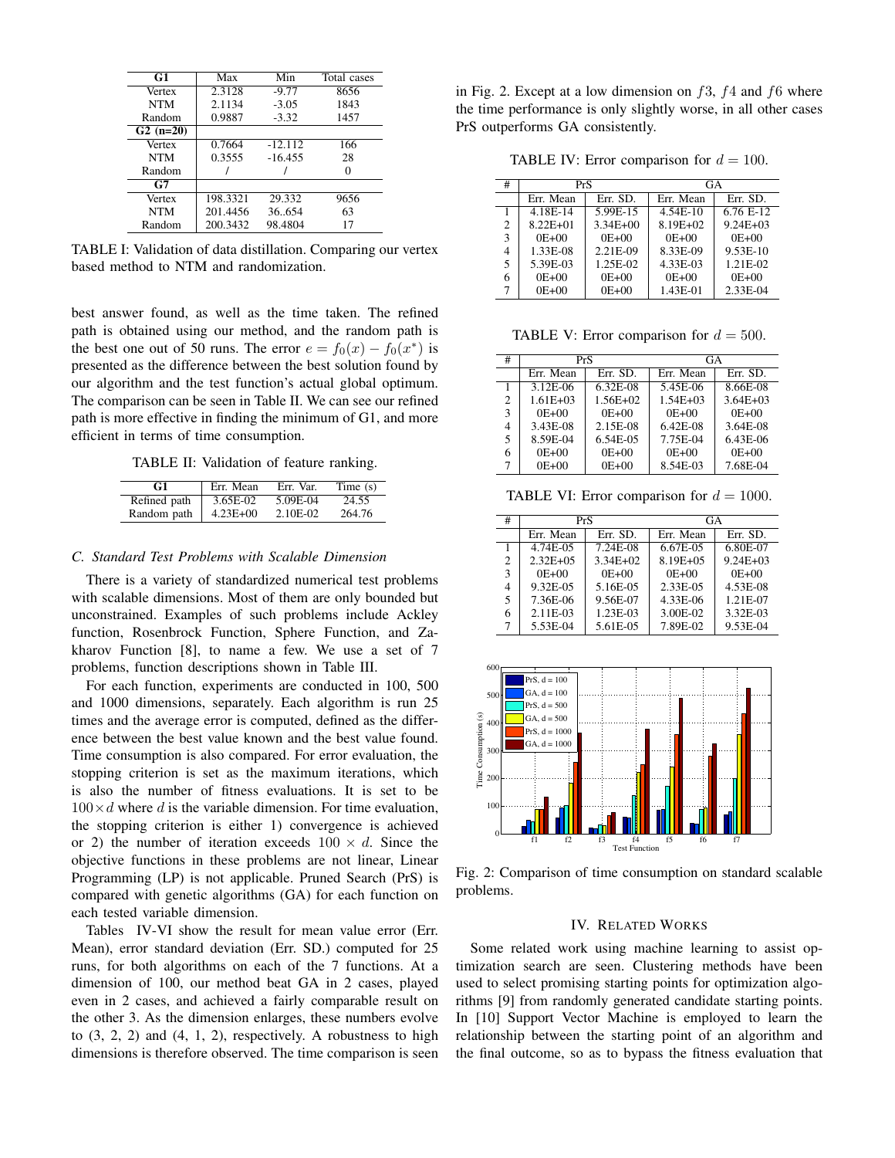| G1         | Max      | Min       | Total cases |
|------------|----------|-----------|-------------|
| Vertex     | 2.3128   | $-9.77$   | 8656        |
| <b>NTM</b> | 2.1134   | $-3.05$   | 1843        |
| Random     | 0.9887   | $-3.32$   | 1457        |
| $G2(n=20)$ |          |           |             |
| Vertex     | 0.7664   | $-12.112$ | 166         |
| <b>NTM</b> | 0.3555   | $-16.455$ | 28          |
| Random     |          |           |             |
| G7         |          |           |             |
| Vertex     | 198.3321 | 29.332    | 9656        |
| <b>NTM</b> | 201.4456 | 36654     | 63          |
| Random     | 200.3432 | 98.4804   | 17          |

TABLE I: Validation of data distillation. Comparing our vertex based method to NTM and randomization.

best answer found, as well as the time taken. The refined path is obtained using our method, and the random path is the best one out of 50 runs. The error  $e = f_0(x) - f_0(x^*)$  is presented as the difference between the best solution found by our algorithm and the test function's actual global optimum. The comparison can be seen in Table II. We can see our refined path is more effective in finding the minimum of G1, and more efficient in terms of time consumption.

TABLE II: Validation of feature ranking.

| G1           | Err. Mean    | Err. Var. | Time $(s)$ |
|--------------|--------------|-----------|------------|
| Refined path | 3.65E-02     | 5.09E-04  | 24.55      |
| Random path  | $4.23E + 00$ | 2.10E-02  | 264.76     |

## *C. Standard Test Problems with Scalable Dimension*

There is a variety of standardized numerical test problems with scalable dimensions. Most of them are only bounded but unconstrained. Examples of such problems include Ackley function, Rosenbrock Function, Sphere Function, and Zakharov Function [8], to name a few. We use a set of 7 problems, function descriptions shown in Table III.

For each function, experiments are conducted in 100, 500 and 1000 dimensions, separately. Each algorithm is run 25 times and the average error is computed, defined as the difference between the best value known and the best value found. Time consumption is also compared. For error evaluation, the stopping criterion is set as the maximum iterations, which is also the number of fitness evaluations. It is set to be  $100\times d$  where d is the variable dimension. For time evaluation, the stopping criterion is either 1) convergence is achieved or 2) the number of iteration exceeds  $100 \times d$ . Since the objective functions in these problems are not linear, Linear Programming (LP) is not applicable. Pruned Search (PrS) is compared with genetic algorithms (GA) for each function on each tested variable dimension.

Tables IV-VI show the result for mean value error (Err. Mean), error standard deviation (Err. SD.) computed for 25 runs, for both algorithms on each of the 7 functions. At a dimension of 100, our method beat GA in 2 cases, played even in 2 cases, and achieved a fairly comparable result on the other 3. As the dimension enlarges, these numbers evolve to  $(3, 2, 2)$  and  $(4, 1, 2)$ , respectively. A robustness to high dimensions is therefore observed. The time comparison is seen

in Fig. 2. Except at a low dimension on  $f3$ ,  $f4$  and  $f6$  where the time performance is only slightly worse, in all other cases PrS outperforms GA consistently.

TABLE IV: Error comparison for  $d = 100$ .

| #              | PrS          |              | GA        |              |
|----------------|--------------|--------------|-----------|--------------|
|                | Err. Mean    | Err. SD.     | Err. Mean | Err. SD.     |
|                | 4.18E-14     | 5.99E-15     | 4.54E-10  | $6.76E-12$   |
| $\mathfrak{D}$ | $8.22E + 01$ | $3.34E + 00$ | 8.19E+02  | $9.24E + 03$ |
| 3              | $0E + 00$    | $0E + 00$    | $0E + 00$ | $0E + 00$    |
| 4              | 1.33E-08     | 2.21E-09     | 8.33E-09  | 9.53E-10     |
| 5              | 5.39E-03     | 1.25E-02     | 4.33E-03  | 1.21E-02     |
| 6              | $0E + 00$    | $0E + 00$    | $0E + 00$ | $0E + 00$    |
|                | $0E + 00$    | $0E + 00$    | 1.43E-01  | 2.33E-04     |

TABLE V: Error comparison for  $d = 500$ .

| #              | PrS          |              | GA           |              |
|----------------|--------------|--------------|--------------|--------------|
|                | Err. Mean    | Err. SD.     | Err. Mean    | Err. SD.     |
| 1              | $3.12E-06$   | $6.32E-08$   | 5.45E-06     | 8.66E-08     |
| $\overline{c}$ | $1.61E + 03$ | $1.56E + 02$ | $1.54E + 03$ | $3.64E + 03$ |
| 3              | $0E + 00$    | $0E + 00$    | $0E + 00$    | $0E + 00$    |
| 4              | 3.43E-08     | 2.15E-08     | 6.42E-08     | 3.64E-08     |
| 5              | 8.59E-04     | 6.54E-05     | 7.75E-04     | $6.43E-06$   |
| 6              | $0E + 00$    | $0E + 00$    | $0E + 00$    | $0E + 00$    |
| 7              | $0E + 00$    | $0E + 00$    | 8.54E-03     | 7.68E-04     |

TABLE VI: Error comparison for  $d = 1000$ .

| # | PrS           |              | GA          |              |  |
|---|---------------|--------------|-------------|--------------|--|
|   | Err. Mean     | Err. SD.     | Err. Mean   | Err. SD.     |  |
|   | $4.74E-0.5$   | $7.24E-08$   | $6.67E-0.5$ | 6.80E-07     |  |
| 2 | $2.32E + 0.5$ | $3.34E + 02$ | 8.19E+05    | $9.24E + 03$ |  |
| 3 | $0E + 00$     | $0E + 00$    | $0E+00$     | $0E + 00$    |  |
| 4 | 9.32E-05      | 5.16E-05     | 2.33E-05    | 4.53E-08     |  |
| 5 | 7.36E-06      | 9.56E-07     | 4.33E-06    | 1.21E-07     |  |
| 6 | 2.11E-03      | 1.23E-03     | 3.00E-02    | 3.32E-03     |  |
|   | 5.53E-04      | 5.61E-05     | 7.89E-02    | 9.53E-04     |  |



Fig. 2: Comparison of time consumption on standard scalable problems.

## IV. RELATED WORKS

Some related work using machine learning to assist optimization search are seen. Clustering methods have been used to select promising starting points for optimization algorithms [9] from randomly generated candidate starting points. In [10] Support Vector Machine is employed to learn the relationship between the starting point of an algorithm and the final outcome, so as to bypass the fitness evaluation that